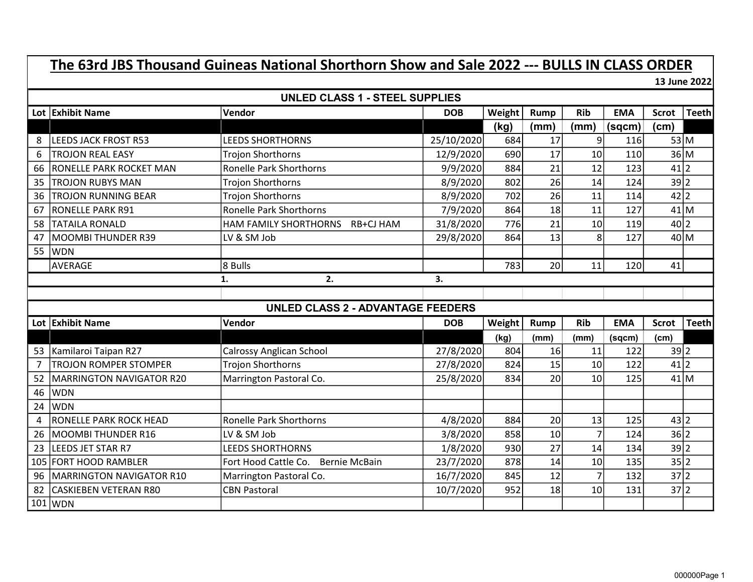## The 63rd JBS Thousand Guineas National Shorthorn Show and Sale 2022 --- BULLS IN CLASS ORDER

13 June 2022

|                | <b>UNLED CLASS 1 - STEEL SUPPLIES</b>    |                                              |            |        |                 |                 |            |              |              |  |  |
|----------------|------------------------------------------|----------------------------------------------|------------|--------|-----------------|-----------------|------------|--------------|--------------|--|--|
|                | Lot Exhibit Name                         | Vendor                                       | <b>DOB</b> | Weight | Rump            | <b>Rib</b>      | <b>EMA</b> | <b>Scrot</b> | <b>Teeth</b> |  |  |
|                |                                          |                                              |            | (kg)   | (mm)            | (mm)            | (sqcm)     | (cm)         |              |  |  |
| 8              | <b>LEEDS JACK FROST R53</b>              | <b>LEEDS SHORTHORNS</b>                      | 25/10/2020 | 684    | 17              | او              | 116        | 53 M         |              |  |  |
| 6              | <b>TROJON REAL EASY</b>                  | <b>Trojon Shorthorns</b>                     | 12/9/2020  | 690    | 17              | 10 <sup>1</sup> | 110        | 36 M         |              |  |  |
| 66             | <b>RONELLE PARK ROCKET MAN</b>           | <b>Ronelle Park Shorthorns</b>               | 9/9/2020   | 884    | 21              | 12              | 123        | $41$  2      |              |  |  |
| 35             | <b>TROJON RUBYS MAN</b>                  | <b>Trojon Shorthorns</b>                     | 8/9/2020   | 802    | 26              | 14              | 124        | 39 2         |              |  |  |
| 36             | <b>TROJON RUNNING BEAR</b>               | <b>Trojon Shorthorns</b>                     | 8/9/2020   | 702    | 26              | 11              | 114        | 42 2         |              |  |  |
| 67             | <b>RONELLE PARK R91</b>                  | Ronelle Park Shorthorns                      | 7/9/2020   | 864    | 18              | 11              | 127        | 41 M         |              |  |  |
| 58             | <b>TATAILA RONALD</b>                    | HAM FAMILY SHORTHORNS RB+CJ HAM              | 31/8/2020  | 776    | 21              | 10              | 119        | 40 2         |              |  |  |
| 47             | <b>MOOMBI THUNDER R39</b>                | LV & SM Job                                  | 29/8/2020  | 864    | 13              | 8               | 127        | 40 M         |              |  |  |
| 55             | <b>WDN</b>                               |                                              |            |        |                 |                 |            |              |              |  |  |
|                | <b>AVERAGE</b>                           | 8 Bulls                                      |            | 783    | 20              | 11              | 120        | 41           |              |  |  |
|                |                                          | 2.<br>1.                                     | 3.         |        |                 |                 |            |              |              |  |  |
|                |                                          |                                              |            |        |                 |                 |            |              |              |  |  |
|                | <b>UNLED CLASS 2 - ADVANTAGE FEEDERS</b> |                                              |            |        |                 |                 |            |              |              |  |  |
|                | Lot Exhibit Name                         | Vendor                                       | <b>DOB</b> | Weight | <b>Rump</b>     | <b>Rib</b>      | <b>EMA</b> | <b>Scrot</b> | <b>Teeth</b> |  |  |
|                |                                          |                                              |            | (kg)   | (mm)            | (mm)            | (sqcm)     | (cm)         |              |  |  |
| 53             | Kamilaroi Taipan R27                     | <b>Calrossy Anglican School</b>              | 27/8/2020  | 804    | 16              | 11              | 122        | 39 2         |              |  |  |
| $\overline{7}$ | <b>TROJON ROMPER STOMPER</b>             | <b>Trojon Shorthorns</b>                     | 27/8/2020  | 824    | 15              | 10 <sup>1</sup> | 122        | 41 2         |              |  |  |
| 52             | <b>MARRINGTON NAVIGATOR R20</b>          | Marrington Pastoral Co.                      | 25/8/2020  | 834    | 20              | 10 <sup>1</sup> | 125        | 41 M         |              |  |  |
| 46             | <b>WDN</b>                               |                                              |            |        |                 |                 |            |              |              |  |  |
| 24             | <b>WDN</b>                               |                                              |            |        |                 |                 |            |              |              |  |  |
|                |                                          |                                              |            |        |                 |                 |            |              |              |  |  |
| $\overline{4}$ | RONELLE PARK ROCK HEAD                   | <b>Ronelle Park Shorthorns</b>               | 4/8/2020   | 884    | 20              | 13              | 125        | 43 2         |              |  |  |
| 26             | MOOMBI THUNDER R16                       | LV & SM Job                                  | 3/8/2020   | 858    | 10 <sup>1</sup> | $\overline{7}$  | 124        | 36 2         |              |  |  |
| 23             | <b>LEEDS JET STAR R7</b>                 | <b>LEEDS SHORTHORNS</b>                      | 1/8/2020   | 930    | 27              | 14              | 134        | 39 2         |              |  |  |
| 105            | <b>FORT HOOD RAMBLER</b>                 | Fort Hood Cattle Co.<br><b>Bernie McBain</b> | 23/7/2020  | 878    | 14              | 10 <sup>1</sup> | 135        | 35 2         |              |  |  |
| 96             | MARRINGTON NAVIGATOR R10                 | Marrington Pastoral Co.                      | 16/7/2020  | 845    | 12              | $\overline{7}$  | 132        | 37 2         |              |  |  |
| 82             | <b>CASKIEBEN VETERAN R80</b>             | <b>CBN Pastoral</b>                          | 10/7/2020  | 952    | 18              | 10 <sup>1</sup> | 131        | 37 2         |              |  |  |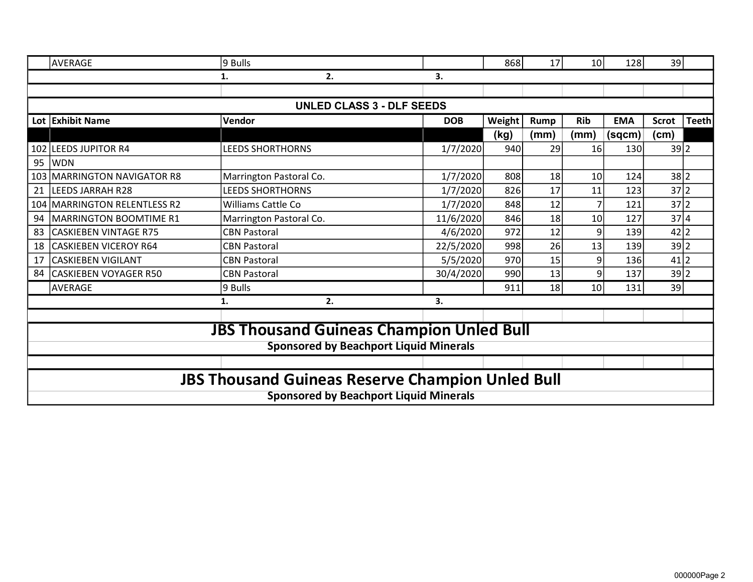|                  | <b>AVERAGE</b>                                          | 9 Bulls                                         |            | 868    | 17   | 10 <sup>1</sup> | 128        | 39           |              |  |  |
|------------------|---------------------------------------------------------|-------------------------------------------------|------------|--------|------|-----------------|------------|--------------|--------------|--|--|
|                  |                                                         | 2.<br>1.                                        | 3.         |        |      |                 |            |              |              |  |  |
|                  |                                                         |                                                 |            |        |      |                 |            |              |              |  |  |
|                  |                                                         | <b>UNLED CLASS 3 - DLF SEEDS</b>                |            |        |      |                 |            |              |              |  |  |
|                  | Lot Exhibit Name                                        | Vendor                                          | <b>DOB</b> | Weight | Rump | <b>Rib</b>      | <b>EMA</b> | <b>Scrot</b> | <b>Teeth</b> |  |  |
|                  |                                                         |                                                 |            | (kg)   | (mm) | (mm)            | (sqcm)     | (cm)         |              |  |  |
|                  | 102 LEEDS JUPITOR R4                                    | <b>LEEDS SHORTHORNS</b>                         | 1/7/2020   | 940    | 29   | 16              | 130        | 39 2         |              |  |  |
| 95               | <b>WDN</b>                                              |                                                 |            |        |      |                 |            |              |              |  |  |
| 103 <sub>1</sub> | <b>MARRINGTON NAVIGATOR R8</b>                          | Marrington Pastoral Co.                         | 1/7/2020   | 808    | 18   | 10 <sup>1</sup> | 124        | 38 2         |              |  |  |
| 21               | <b>LEEDS JARRAH R28</b>                                 | <b>LEEDS SHORTHORNS</b>                         | 1/7/2020   | 826    | 17   | 11              | 123        | 37 2         |              |  |  |
| 104              | <b>MARRINGTON RELENTLESS R2</b>                         | Williams Cattle Co                              | 1/7/2020   | 848    | 12   |                 | 121        | 37 2         |              |  |  |
| 94               | <b>MARRINGTON BOOMTIME R1</b>                           | Marrington Pastoral Co.                         | 11/6/2020  | 846    | 18   | 10              | 127        | 37 4         |              |  |  |
| 83               | <b>CASKIEBEN VINTAGE R75</b>                            | <b>CBN Pastoral</b>                             | 4/6/2020   | 972    | 12   | 9               | 139        | $42$  2      |              |  |  |
| 18               | <b>CASKIEBEN VICEROY R64</b>                            | <b>CBN Pastoral</b>                             | 22/5/2020  | 998    | 26   | 13              | 139        | 39 2         |              |  |  |
| 17               | <b>CASKIEBEN VIGILANT</b>                               | <b>CBN Pastoral</b>                             | 5/5/2020   | 970    | 15   | 9               | 136        | 41 2         |              |  |  |
| 84               | <b>CASKIEBEN VOYAGER R50</b>                            | <b>CBN Pastoral</b>                             | 30/4/2020  | 990    | 13   | 9               | 137        | 39 2         |              |  |  |
|                  | AVERAGE                                                 | 9 Bulls                                         |            | 911    | 18   | 10 <sup>1</sup> | 131        | 39           |              |  |  |
|                  |                                                         | 2.<br>1.                                        | 3.         |        |      |                 |            |              |              |  |  |
|                  |                                                         |                                                 |            |        |      |                 |            |              |              |  |  |
|                  |                                                         | <b>JBS Thousand Guineas Champion Unled Bull</b> |            |        |      |                 |            |              |              |  |  |
|                  |                                                         | <b>Sponsored by Beachport Liquid Minerals</b>   |            |        |      |                 |            |              |              |  |  |
|                  |                                                         |                                                 |            |        |      |                 |            |              |              |  |  |
|                  |                                                         |                                                 |            |        |      |                 |            |              |              |  |  |
|                  | <b>JBS Thousand Guineas Reserve Champion Unled Bull</b> |                                                 |            |        |      |                 |            |              |              |  |  |
|                  | <b>Sponsored by Beachport Liquid Minerals</b>           |                                                 |            |        |      |                 |            |              |              |  |  |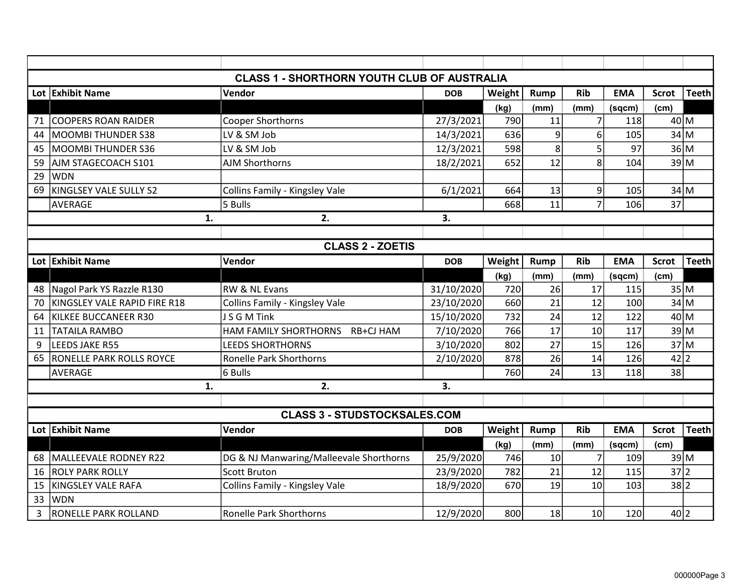| <b>CLASS 1 - SHORTHORN YOUTH CLUB OF AUSTRALIA</b> |                                 |                                         |            |        |             |                 |            |              |              |  |  |  |
|----------------------------------------------------|---------------------------------|-----------------------------------------|------------|--------|-------------|-----------------|------------|--------------|--------------|--|--|--|
|                                                    | Lot Exhibit Name                | Vendor                                  | <b>DOB</b> | Weight | <b>Rump</b> | <b>Rib</b>      | <b>EMA</b> | <b>Scrot</b> | <b>Teeth</b> |  |  |  |
|                                                    |                                 |                                         |            | (kg)   | (mm)        | (mm)            | (sqcm)     | (cm)         |              |  |  |  |
| 71                                                 | <b>COOPERS ROAN RAIDER</b>      | Cooper Shorthorns                       | 27/3/2021  | 790    | 11          | 7               | 118        | 40 M         |              |  |  |  |
| 44                                                 | <b>MOOMBI THUNDER S38</b>       | LV & SM Job                             | 14/3/2021  | 636    | 9           | 6               | 105        | 34 M         |              |  |  |  |
| 45                                                 | <b>MOOMBI THUNDER S36</b>       | LV & SM Job                             | 12/3/2021  | 598    | 8           | 5               | 97         | 36 M         |              |  |  |  |
| 59                                                 | AJM STAGECOACH S101             | <b>AJM Shorthorns</b>                   | 18/2/2021  | 652    | 12          | 8               | 104        | 39 M         |              |  |  |  |
| 29                                                 | <b>WDN</b>                      |                                         |            |        |             |                 |            |              |              |  |  |  |
| 69                                                 | KINGLSEY VALE SULLY S2          | Collins Family - Kingsley Vale          | 6/1/2021   | 664    | 13          | 9               | 105        | 34 M         |              |  |  |  |
|                                                    | <b>AVERAGE</b>                  | 5 Bulls                                 |            | 668    | 11          | $\overline{7}$  | 106        | 37           |              |  |  |  |
|                                                    | 1.                              | 2.                                      | 3.         |        |             |                 |            |              |              |  |  |  |
|                                                    |                                 |                                         |            |        |             |                 |            |              |              |  |  |  |
| <b>CLASS 2 - ZOETIS</b>                            |                                 |                                         |            |        |             |                 |            |              |              |  |  |  |
|                                                    | Lot Exhibit Name                | Vendor                                  | <b>DOB</b> | Weight | <b>Rump</b> | <b>Rib</b>      | <b>EMA</b> | <b>Scrot</b> | <b>Teeth</b> |  |  |  |
|                                                    |                                 |                                         |            | (kg)   | (mm)        | (mm)            | (sqcm)     | (cm)         |              |  |  |  |
| 48                                                 | Nagol Park YS Razzle R130       | <b>RW &amp; NL Evans</b>                | 31/10/2020 | 720    | 26          | 17              | 115        | 35 M         |              |  |  |  |
| 70                                                 | KINGSLEY VALE RAPID FIRE R18    | Collins Family - Kingsley Vale          | 23/10/2020 | 660    | 21          | 12              | 100        | 34 M         |              |  |  |  |
| 64                                                 | KILKEE BUCCANEER R30            | J S G M Tink                            | 15/10/2020 | 732    | 24          | 12              | 122        | 40 M         |              |  |  |  |
| 11                                                 | <b>TATAILA RAMBO</b>            | HAM FAMILY SHORTHORNS<br>RB+CJ HAM      | 7/10/2020  | 766    | 17          | 10              | 117        | 39 M         |              |  |  |  |
| 9                                                  | LEEDS JAKE R55                  | <b>LEEDS SHORTHORNS</b>                 | 3/10/2020  | 802    | 27          | 15              | 126        | 37 M         |              |  |  |  |
| 65                                                 | <b>RONELLE PARK ROLLS ROYCE</b> | <b>Ronelle Park Shorthorns</b>          | 2/10/2020  | 878    | 26          | 14              | 126        | $42$  2      |              |  |  |  |
|                                                    | <b>AVERAGE</b>                  | 6 Bulls                                 |            | 760    | 24          | $\overline{13}$ | 118        | 38           |              |  |  |  |
|                                                    | 1.                              | 2.                                      | 3.         |        |             |                 |            |              |              |  |  |  |
|                                                    |                                 |                                         |            |        |             |                 |            |              |              |  |  |  |
|                                                    |                                 | <b>CLASS 3 - STUDSTOCKSALES.COM</b>     |            |        |             |                 |            |              |              |  |  |  |
|                                                    | Lot Exhibit Name                | Vendor                                  | <b>DOB</b> | Weight | <b>Rump</b> | <b>Rib</b>      | <b>EMA</b> | <b>Scrot</b> | <b>Teeth</b> |  |  |  |
|                                                    |                                 |                                         |            | (kg)   | (mm)        | (mm)            | (sqcm)     | (cm)         |              |  |  |  |
| 68                                                 | MALLEEVALE RODNEY R22           | DG & NJ Manwaring/Malleevale Shorthorns | 25/9/2020  | 746    | 10          | $\overline{7}$  | 109        | 39 M         |              |  |  |  |
| 16                                                 | <b>ROLY PARK ROLLY</b>          | <b>Scott Bruton</b>                     | 23/9/2020  | 782    | 21          | 12              | 115        | 37 2         |              |  |  |  |
| 15                                                 | KINGSLEY VALE RAFA              | Collins Family - Kingsley Vale          | 18/9/2020  | 670    | 19          | 10              | 103        | 38 2         |              |  |  |  |
| 33                                                 | <b>WDN</b>                      |                                         |            |        |             |                 |            |              |              |  |  |  |
| 3                                                  | <b>RONELLE PARK ROLLAND</b>     | <b>Ronelle Park Shorthorns</b>          | 12/9/2020  | 800    | 18          | 10              | 120        | 40 2         |              |  |  |  |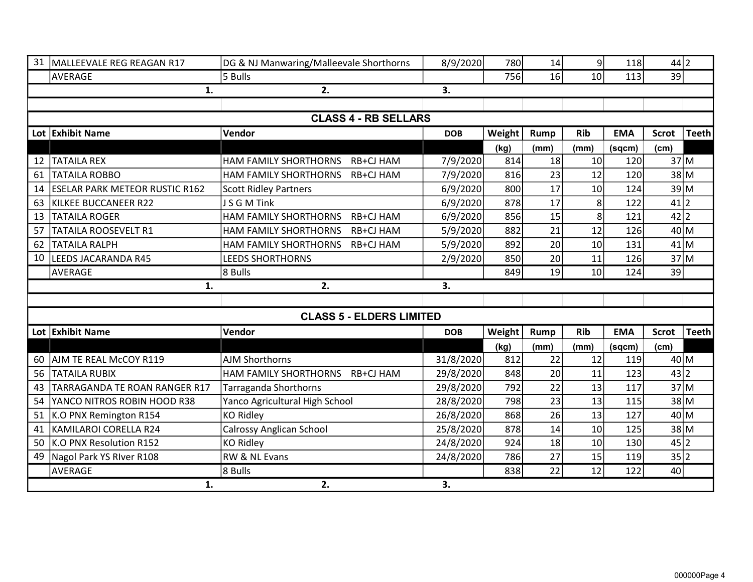| 31 | MALLEEVALE REG REAGAN R17             | DG & NJ Manwaring/Malleevale Shorthorns   | 8/9/2020   | <b>780</b> | 14              | $\overline{9}$ | 118        | 44 2            |              |
|----|---------------------------------------|-------------------------------------------|------------|------------|-----------------|----------------|------------|-----------------|--------------|
|    | AVERAGE                               | 5 Bulls                                   |            | 756        | 16              | 10             | 113        | 39              |              |
|    | 1.                                    | 2.                                        | 3.         |            |                 |                |            |                 |              |
|    |                                       |                                           |            |            |                 |                |            |                 |              |
|    |                                       | <b>CLASS 4 - RB SELLARS</b>               |            |            |                 |                |            |                 |              |
|    | Lot Exhibit Name                      | Vendor                                    | <b>DOB</b> | Weight     | Rump            | <b>Rib</b>     | <b>EMA</b> | Scrot           | <b>Teeth</b> |
|    |                                       |                                           |            | (kg)       | (mm)            | (mm)           | (sqcm)     | (cm)            |              |
| 12 | <b>TATAILA REX</b>                    | <b>HAM FAMILY SHORTHORNS</b><br>RB+CJ HAM | 7/9/2020   | 814        | 18              | 10             | <b>120</b> | 37 M            |              |
| 61 | <b>TATAILA ROBBO</b>                  | HAM FAMILY SHORTHORNS<br>RB+CJ HAM        | 7/9/2020   | 816        | 23              | 12             | <b>120</b> | 38 M            |              |
| 14 | <b>ESELAR PARK METEOR RUSTIC R162</b> | <b>Scott Ridley Partners</b>              | 6/9/2020   | 800        | 17              | 10             | 124        | 39 M            |              |
| 63 | KILKEE BUCCANEER R22                  | J S G M Tink                              | 6/9/2020   | 878        | 17              | 8              | 122        | 41 2            |              |
| 13 | <b>TATAILA ROGER</b>                  | HAM FAMILY SHORTHORNS<br>RB+CJ HAM        | 6/9/2020   | 856        | 15              | 8              | 121        | 42 2            |              |
| 57 | TATAILA ROOSEVELT R1                  | HAM FAMILY SHORTHORNS<br>RB+CJ HAM        | 5/9/2020   | 882        | $\overline{21}$ | 12             | 126        | 40 M            |              |
| 62 | <b>TATAILA RALPH</b>                  | HAM FAMILY SHORTHORNS<br>RB+CJ HAM        | 5/9/2020   | 892        | 20              | 10             | 131        | $41$ M          |              |
| 10 | <b>LEEDS JACARANDA R45</b>            | <b>LEEDS SHORTHORNS</b>                   | 2/9/2020   | 850        | 20              | 11             | <b>126</b> | 37 <sub>5</sub> |              |
|    | AVERAGE                               | 8 Bulls                                   |            | 849        | 19              | 10             | 124        | 39              |              |
|    | 1.                                    | 2.                                        | 3.         |            |                 |                |            |                 |              |
|    |                                       |                                           |            |            |                 |                |            |                 |              |
|    |                                       | <b>CLASS 5 - ELDERS LIMITED</b>           |            |            |                 |                |            |                 |              |
|    | Lot Exhibit Name                      | Vendor                                    | <b>DOB</b> | Weight     | <b>Rump</b>     | <b>Rib</b>     | <b>EMA</b> | <b>Scrot</b>    | <b>Teeth</b> |
|    |                                       |                                           |            | (kg)       | (mm)            | (mm)           | (sqcm)     | (cm)            |              |
| 60 | AJM TE REAL McCOY R119                | <b>AJM Shorthorns</b>                     | 31/8/2020  | 812        | 22              | 12             | 119        | 40 M            |              |
| 56 | <b>TATAILA RUBIX</b>                  | HAM FAMILY SHORTHORNS<br>RB+CJ HAM        | 29/8/2020  | 848        | 20              | 11             | 123        | 43 2            |              |
| 43 | TARRAGANDA TE ROAN RANGER R17         | <b>Tarraganda Shorthorns</b>              | 29/8/2020  | 792        | 22              | 13             | 117        | 37 <sub>5</sub> |              |
| 54 | YANCO NITROS ROBIN HOOD R38           | Yanco Agricultural High School            | 28/8/2020  | 798        | 23              | 13             | 115        | 38 M            |              |
| 51 | K.O PNX Remington R154                | <b>KO Ridley</b>                          | 26/8/2020  | 868        | 26              | 13             | 127        | 40 M            |              |
| 41 | KAMILAROI CORELLA R24                 | <b>Calrossy Anglican School</b>           | 25/8/2020  | 878        | 14              | 10             | 125        | 38 M            |              |
| 50 | K.O PNX Resolution R152               | <b>KO Ridley</b>                          | 24/8/2020  | 924        | 18              | 10             | 130        | 45 2            |              |
| 49 | Nagol Park YS River R108              | RW & NL Evans                             | 24/8/2020  | 786        | 27              | 15             | 119        | 35 2            |              |
|    | <b>AVERAGE</b>                        | 8 Bulls                                   |            | 838        | 22              | 12             | 122        | 40              |              |
|    | 1.                                    | 2.                                        | 3.         |            |                 |                |            |                 |              |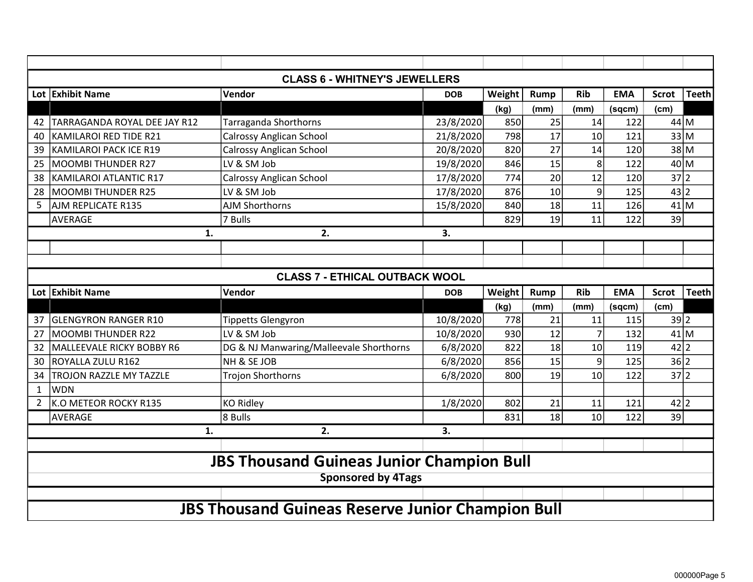| <b>CLASS 6 - WHITNEY'S JEWELLERS</b>  |                               |                                                  |            |        |             |                |            |              |              |  |  |
|---------------------------------------|-------------------------------|--------------------------------------------------|------------|--------|-------------|----------------|------------|--------------|--------------|--|--|
|                                       | Lot Exhibit Name              | Vendor                                           | <b>DOB</b> | Weight | <b>Rump</b> | <b>Rib</b>     | <b>EMA</b> | <b>Scrot</b> | <b>Teeth</b> |  |  |
|                                       |                               |                                                  |            | (kg)   | (mm)        | (mm)           | (sqcm)     | (cm)         |              |  |  |
| 42                                    | TARRAGANDA ROYAL DEE JAY R12  | <b>Tarraganda Shorthorns</b>                     | 23/8/2020  | 850    | 25          | 14             | 122        | $44$ M       |              |  |  |
| 40                                    | <b>KAMILAROI RED TIDE R21</b> | <b>Calrossy Anglican School</b>                  | 21/8/2020  | 798    | 17          | 10             | 121        | 33 M         |              |  |  |
| 39                                    | KAMILAROI PACK ICE R19        | <b>Calrossy Anglican School</b>                  | 20/8/2020  | 820    | 27          | 14             | 120        | 38 M         |              |  |  |
| 25                                    | <b>MOOMBI THUNDER R27</b>     | LV & SM Job                                      | 19/8/2020  | 846    | 15          | 8              | 122        | 40 M         |              |  |  |
| 38                                    | <b>KAMILAROI ATLANTIC R17</b> | <b>Calrossy Anglican School</b>                  | 17/8/2020  | 774    | 20          | 12             | 120        | 37 2         |              |  |  |
| 28                                    | <b>MOOMBI THUNDER R25</b>     | LV & SM Job                                      | 17/8/2020  | 876    | 10          | 9              | 125        | 43 2         |              |  |  |
| 5                                     | AJM REPLICATE R135            | <b>AJM Shorthorns</b>                            | 15/8/2020  | 840    | 18          | 11             | 126        | $41$ M       |              |  |  |
|                                       | <b>AVERAGE</b>                | 7 Bulls                                          |            | 829    | 19          | 11             | 122        | 39           |              |  |  |
|                                       | 1.                            | 2.                                               | 3.         |        |             |                |            |              |              |  |  |
|                                       |                               |                                                  |            |        |             |                |            |              |              |  |  |
|                                       |                               |                                                  |            |        |             |                |            |              |              |  |  |
| <b>CLASS 7 - ETHICAL OUTBACK WOOL</b> |                               |                                                  |            |        |             |                |            |              |              |  |  |
|                                       |                               |                                                  |            |        |             |                |            |              |              |  |  |
|                                       | Lot Exhibit Name              | Vendor                                           | <b>DOB</b> | Weight | <b>Rump</b> | <b>Rib</b>     | <b>EMA</b> | <b>Scrot</b> | <b>Teeth</b> |  |  |
|                                       |                               |                                                  |            | (kg)   | (mm)        | (mm)           | (sqcm)     | (cm)         |              |  |  |
| 37                                    | <b>GLENGYRON RANGER R10</b>   | <b>Tippetts Glengyron</b>                        | 10/8/2020  | 778    | 21          | 11             | 115        | 39 2         |              |  |  |
| 27                                    | <b>MOOMBI THUNDER R22</b>     | LV & SM Job                                      | 10/8/2020  | 930    | 12          | $\overline{7}$ | 132        | $41$ M       |              |  |  |
| 32                                    | MALLEEVALE RICKY BOBBY R6     | DG & NJ Manwaring/Malleevale Shorthorns          | 6/8/2020   | 822    | 18          | 10             | 119        | $42$  2      |              |  |  |
| 30                                    | ROYALLA ZULU R162             | NH & SE JOB                                      | 6/8/2020   | 856    | 15          | 9              | 125        | 36 2         |              |  |  |
| 34                                    | TROJON RAZZLE MY TAZZLE       | Trojon Shorthorns                                | 6/8/2020   | 800    | 19          | 10             | 122        | 37 2         |              |  |  |
| $\mathbf{1}$                          | <b>WDN</b>                    |                                                  |            |        |             |                |            |              |              |  |  |
| $\overline{2}$                        | K.O METEOR ROCKY R135         | <b>KO Ridley</b>                                 | 1/8/2020   | 802    | 21          | 11             | 121        | 42 2         |              |  |  |
|                                       | <b>AVERAGE</b>                | 8 Bulls                                          |            | 831    | 18          | 10             | 122        | 39           |              |  |  |
|                                       | 1.                            | 2.                                               | 3.         |        |             |                |            |              |              |  |  |
|                                       |                               |                                                  |            |        |             |                |            |              |              |  |  |
|                                       |                               | <b>JBS Thousand Guineas Junior Champion Bull</b> |            |        |             |                |            |              |              |  |  |
|                                       |                               | <b>Sponsored by 4Tags</b>                        |            |        |             |                |            |              |              |  |  |
|                                       |                               |                                                  |            |        |             |                |            |              |              |  |  |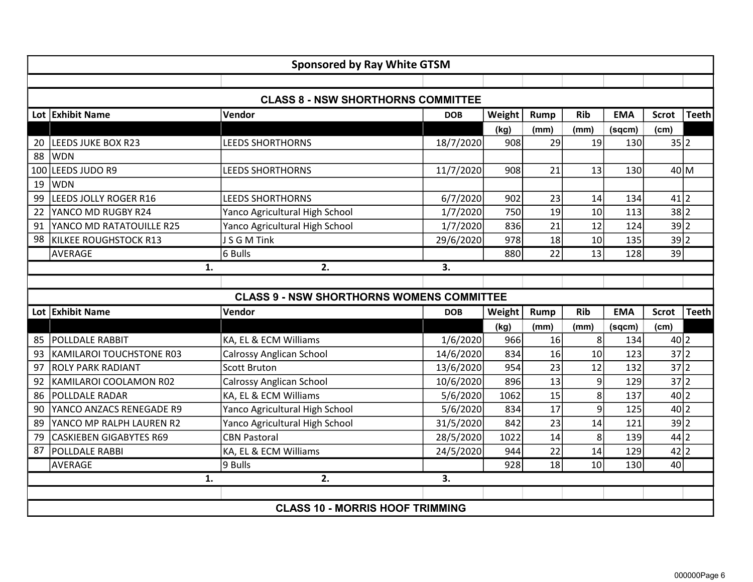|     |                                | <b>Sponsored by Ray White GTSM</b>               |            |        |             |                |            |              |              |
|-----|--------------------------------|--------------------------------------------------|------------|--------|-------------|----------------|------------|--------------|--------------|
|     |                                |                                                  |            |        |             |                |            |              |              |
|     |                                | <b>CLASS 8 - NSW SHORTHORNS COMMITTEE</b>        |            |        |             |                |            |              |              |
|     | Lot Exhibit Name               | Vendor                                           | <b>DOB</b> | Weight | <b>Rump</b> | <b>Rib</b>     | <b>EMA</b> | <b>Scrot</b> | <b>Teeth</b> |
|     |                                |                                                  |            | (kg)   | (mm)        | (mm)           | (sqcm)     | (cm)         |              |
| 20  | LEEDS JUKE BOX R23             | <b>LEEDS SHORTHORNS</b>                          | 18/7/2020  | 908    | 29          | 19             | <b>130</b> | 35 2         |              |
| 88  | <b>WDN</b>                     |                                                  |            |        |             |                |            |              |              |
| 100 | LEEDS JUDO R9                  | <b>LEEDS SHORTHORNS</b>                          | 11/7/2020  | 908    | 21          | 13             | 130        | 40 M         |              |
| 19  | <b>WDN</b>                     |                                                  |            |        |             |                |            |              |              |
| 99  | LEEDS JOLLY ROGER R16          | <b>LEEDS SHORTHORNS</b>                          | 6/7/2020   | 902    | 23          | 14             | 134        | 41 2         |              |
| 22  | YANCO MD RUGBY R24             | Yanco Agricultural High School                   | 1/7/2020   | 750    | 19          | 10             | 113        | 38 2         |              |
| 91  | YANCO MD RATATOUILLE R25       | Yanco Agricultural High School                   | 1/7/2020   | 836    | 21          | 12             | 124        | 39 2         |              |
| 98  | KILKEE ROUGHSTOCK R13          | JSGMTink                                         | 29/6/2020  | 978    | 18          | 10             | 135        | 39 2         |              |
|     | AVERAGE                        | 6 Bulls                                          |            | 880    | 22          | 13             | <b>128</b> | 39           |              |
|     |                                | 1.<br>2.                                         | 3.         |        |             |                |            |              |              |
|     |                                |                                                  |            |        |             |                |            |              |              |
|     |                                |                                                  |            |        |             |                |            |              |              |
|     |                                | <b>CLASS 9 - NSW SHORTHORNS WOMENS COMMITTEE</b> |            |        |             |                |            |              |              |
|     | Lot Exhibit Name               | Vendor                                           | <b>DOB</b> | Weight | Rump        | <b>Rib</b>     | <b>EMA</b> | <b>Scrot</b> | <b>Teeth</b> |
|     |                                |                                                  |            | (kg)   | (mm)        | (mm)           | (sqcm)     | (cm)         |              |
| 85  | POLLDALE RABBIT                | KA, EL & ECM Williams                            | 1/6/2020   | 966    | 16          | 8              | 134        | 40 2         |              |
| 93  | KAMILAROI TOUCHSTONE R03       | <b>Calrossy Anglican School</b>                  | 14/6/2020  | 834    | 16          | 10             | 123        | 37 2         |              |
| 97  | <b>ROLY PARK RADIANT</b>       | <b>Scott Bruton</b>                              | 13/6/2020  | 954    | 23          | 12             | 132        | 37 2         |              |
| 92  | KAMILAROI COOLAMON R02         | <b>Calrossy Anglican School</b>                  | 10/6/2020  | 896    | 13          | 9              | <b>129</b> | 37 2         |              |
| 86  | POLLDALE RADAR                 | KA, EL & ECM Williams                            | 5/6/2020   | 1062   | 15          | 8              | 137        | 40 2         |              |
| 90  | YANCO ANZACS RENEGADE R9       | Yanco Agricultural High School                   | 5/6/2020   | 834    | 17          | $\overline{9}$ | 125        | 40 2         |              |
| 89  | YANCO MP RALPH LAUREN R2       | Yanco Agricultural High School                   | 31/5/2020  | 842    | 23          | 14             | 121        | 39 2         |              |
| 79  | <b>CASKIEBEN GIGABYTES R69</b> | <b>CBN Pastoral</b>                              | 28/5/2020  | 1022   | 14          | 8              | <b>139</b> | 44 2         |              |
| 87  | POLLDALE RABBI                 | KA, EL & ECM Williams                            | 24/5/2020  | 944    | 22          | 14             | 129        | 42 2         |              |
|     | AVERAGE                        | 9 Bulls                                          |            | 928    | 18          | 10             | 130        | 40           |              |
|     |                                | 2.<br>1.                                         | 3.         |        |             |                |            |              |              |
|     |                                | <b>CLASS 10 - MORRIS HOOF TRIMMING</b>           |            |        |             |                |            |              |              |